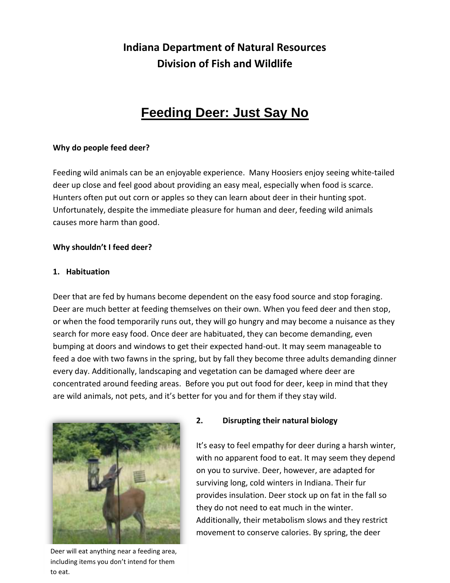## **Indiana Department of Natural Resources Division of Fish and Wildlife**

# **Feeding Deer: Just Say No**

## **Why do people feed deer?**

Feeding wild animals can be an enjoyable experience. Many Hoosiers enjoy seeing white-tailed deer up close and feel good about providing an easy meal, especially when food is scarce. Hunters often put out corn or apples so they can learn about deer in their hunting spot. Unfortunately, despite the immediate pleasure for human and deer, feeding wild animals causes more harm than good.

#### **Why shouldn't I feed deer?**

#### **1. Habituation**

Deer that are fed by humans become dependent on the easy food source and stop foraging. Deer are much better at feeding themselves on their own. When you feed deer and then stop, or when the food temporarily runs out, they will go hungry and may become a nuisance as they search for more easy food. Once deer are habituated, they can become demanding, even bumping at doors and windows to get their expected hand-out. It may seem manageable to feed a doe with two fawns in the spring, but by fall they become three adults demanding dinner every day. Additionally, landscaping and vegetation can be damaged where deer are concentrated around feeding areas. Before you put out food for deer, keep in mind that they are wild animals, not pets, and it's better for you and for them if they stay wild.



Deer will eat anything near a feeding area, including items you don't intend for them to eat.

#### **2. Disrupting their natural biology**

It's easy to feel empathy for deer during a harsh winter, with no apparent food to eat. It may seem they depend on you to survive. Deer, however, are adapted for surviving long, cold winters in Indiana. Their fur provides insulation. Deer stock up on fat in the fall so they do not need to eat much in the winter. Additionally, their metabolism slows and they restrict movement to conserve calories. By spring, the deer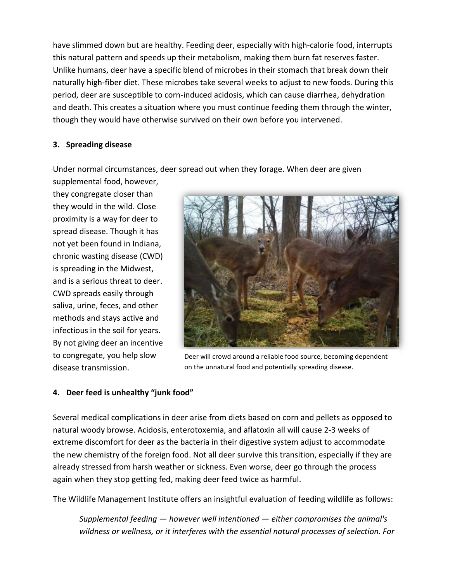have slimmed down but are healthy. Feeding deer, especially with high-calorie food, interrupts this natural pattern and speeds up their metabolism, making them burn fat reserves faster. Unlike humans, deer have a specific blend of microbes in their stomach that break down their naturally high-fiber diet. These microbes take several weeks to adjust to new foods. During this period, deer are susceptible to corn-induced acidosis, which can cause diarrhea, dehydration and death. This creates a situation where you must continue feeding them through the winter, though they would have otherwise survived on their own before you intervened.

## **3. Spreading disease**

Under normal circumstances, deer spread out when they forage. When deer are given

supplemental food, however, they congregate closer than they would in the wild. Close proximity is a way for deer to spread disease. Though it has not yet been found in Indiana, chronic wasting disease (CWD) is spreading in the Midwest,

and is a serious threat to deer. CWD spreads easily through saliva, urine, feces, and other methods and stays active and infectious in the soil for years. By not giving deer an incentive to congregate, you help slow

disease transmission.



Deer will crowd around a reliable food source, becoming dependent on the unnatural food and potentially spreading disease.

## **4. Deer feed is unhealthy "junk food"**

Several medical complications in deer arise from diets based on corn and pellets as opposed to natural woody browse. Acidosis, enterotoxemia, and aflatoxin all will cause 2-3 weeks of extreme discomfort for deer as the bacteria in their digestive system adjust to accommodate the new chemistry of the foreign food. Not all deer survive this transition, especially if they are already stressed from harsh weather or sickness. Even worse, deer go through the process again when they stop getting fed, making deer feed twice as harmful.

The Wildlife Management Institute offers an insightful evaluation of feeding wildlife as follows:

*Supplemental feeding — however well intentioned — either compromises the animal's wildness or wellness, or it interferes with the essential natural processes of selection. For*